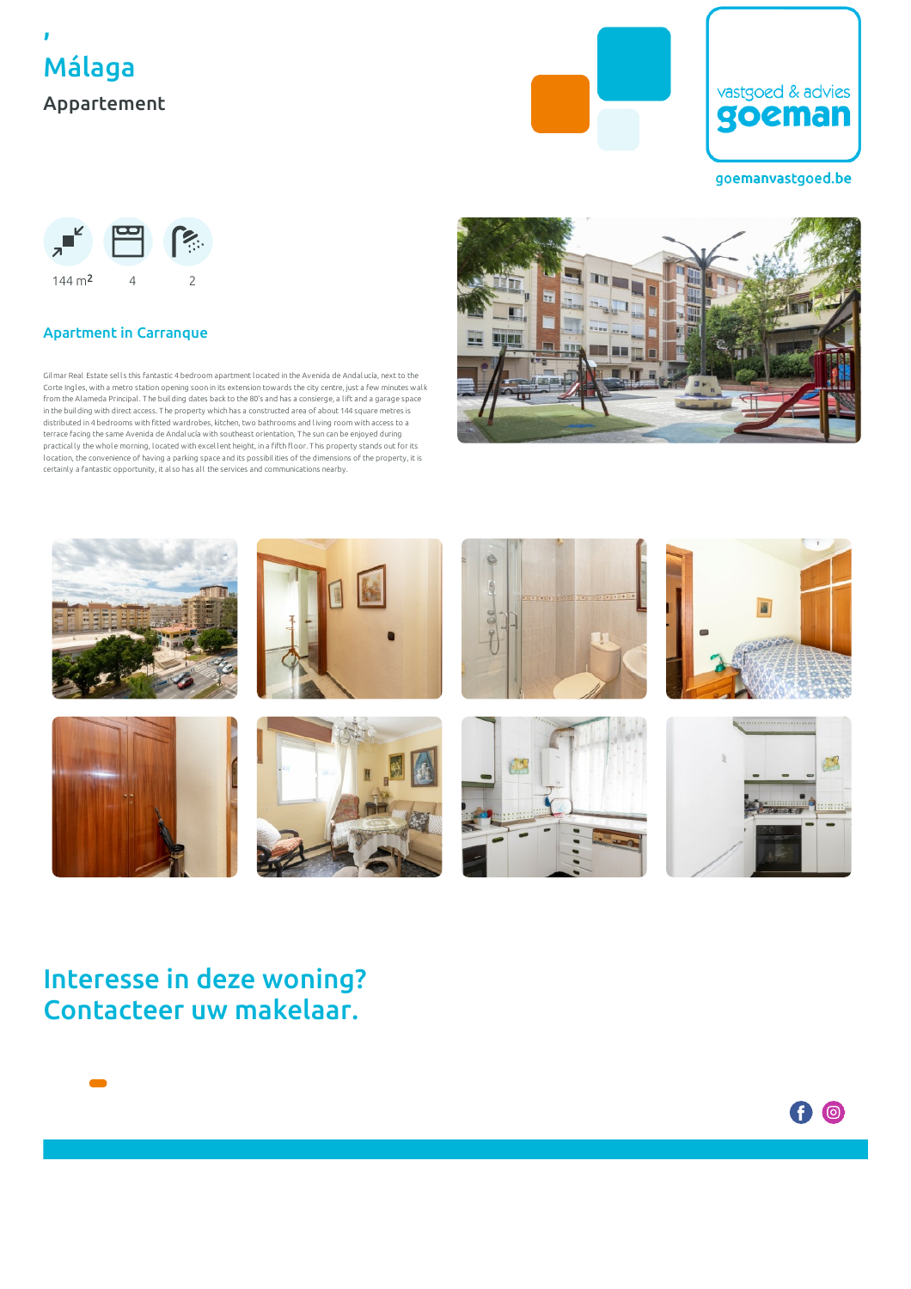





goemanvastgoed.be



### Apartment in Carranque

Gilmar Real Estate sells this fantastic 4 bedroom apartment located in the Avenida de Andalucía, next to the Corte Ingles, with a metro station opening soon in its extension towards the city centre, just a few minutes wal k from the Al ameda Principal . T he building dates back to the 80's and has a consierge, a l ift and a garage space in the building with direct access. T he property which has a constructed area of about 144 square metres is distributed in 4 bedrooms with fitted wardrobes, kitchen, two bathrooms and living room with access to a terrace facing the same Avenida de Andalucía with southeast orientation, T he sun can be enjoyed during practically the whole morning, located with excellent height, in a fifth floor. This property stands out for its location, the convenience of having a parking space and its possibil ities of the dimensions of the property, it is certainly a fantastic opportunity, it also has all the services and communications nearby.





## Interesse in deze woning? Contacteer uw makelaar.